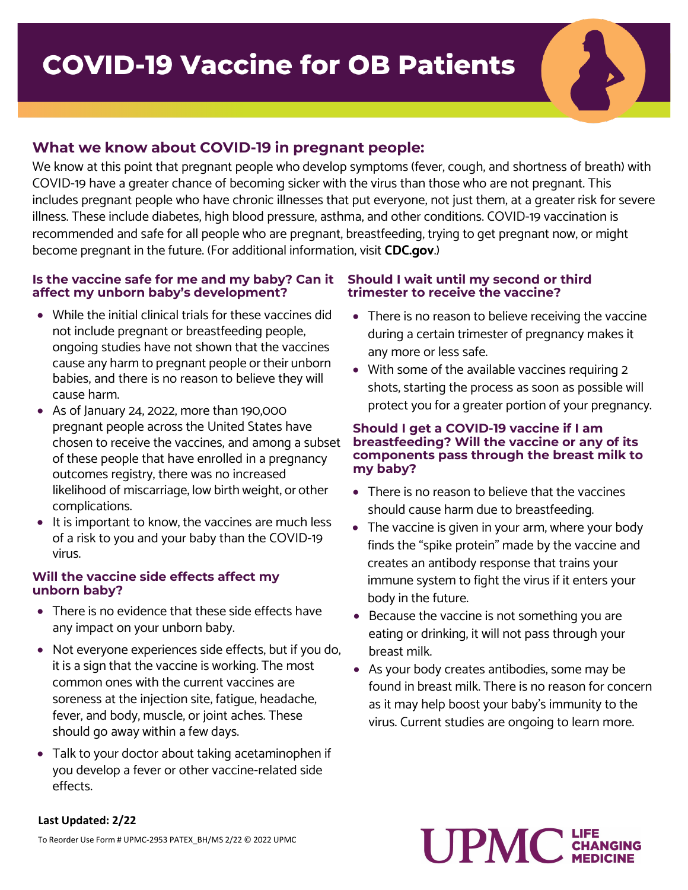# **What we know about COVID-19 in pregnant people:**

We know at this point that pregnant people who develop symptoms (fever, cough, and shortness of breath) with COVID-19 have a greater chance of becoming sicker with the virus than those who are not pregnant. This includes pregnant people who have chronic illnesses that put everyone, not just them, at a greater risk for severe illness. These include diabetes, high blood pressure, asthma, and other conditions. COVID-19 vaccination is recommended and safe for all people who are pregnant, breastfeeding, trying to get pregnant now, or might become pregnant in the future. (For additional information, visit **CDC.gov**.)

#### **Is the vaccine safe for me and my baby? Can it affect my unborn baby's development?**

- While the initial clinical trials for these vaccines did not include pregnant or breastfeeding people, ongoing studies have not shown that the vaccines cause any harm to pregnant people or their unborn babies, and there is no reason to believe they will cause harm.
- As of January 24, 2022, more than 190,000 pregnant people across the United States have chosen to receive the vaccines, and among a subset of these people that have enrolled in a pregnancy outcomes registry, there was no increased likelihood of miscarriage, low birth weight, or other complications.
- It is important to know, the vaccines are much less of a risk to you and your baby than the COVID-19 virus.

#### **Will the vaccine side effects affect my unborn baby?**

- There is no evidence that these side effects have any impact on your unborn baby.
- Not everyone experiences side effects, but if you do, it is a sign that the vaccine is working. The most common ones with the current vaccines are soreness at the injection site, fatigue, headache, fever, and body, muscle, or joint aches. These should go away within a few days.
- Talk to your doctor about taking acetaminophen if you develop a fever or other vaccine-related side effects.

### **Should I wait until my second or third trimester to receive the vaccine?**

- There is no reason to believe receiving the vaccine during a certain trimester of pregnancy makes it any more or less safe.
- With some of the available vaccines requiring 2 shots, starting the process as soon as possible will protect you for a greater portion of your pregnancy.

#### **Should I get a COVID-19 vaccine if I am breastfeeding? Will the vaccine or any of its components pass through the breast milk to my baby?**

- There is no reason to believe that the vaccines should cause harm due to breastfeeding.
- The vaccine is given in your arm, where your body finds the "spike protein" made by the vaccine and creates an antibody response that trains your immune system to fight the virus if it enters your body in the future.
- Because the vaccine is not something you are eating or drinking, it will not pass through your breast milk.
- As your body creates antibodies, some may be found in breast milk. There is no reason for concern as it may help boost your baby's immunity to the virus. Current studies are ongoing to learn more.

# **UPMC CHAIR**

# **Last Updated: 2/22**